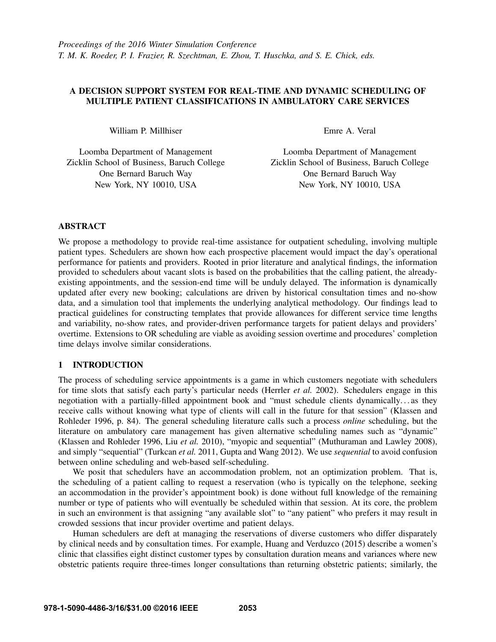# A DECISION SUPPORT SYSTEM FOR REAL-TIME AND DYNAMIC SCHEDULING OF MULTIPLE PATIENT CLASSIFICATIONS IN AMBULATORY CARE SERVICES

William P. Millhiser

Loomba Department of Management Zicklin School of Business, Baruch College One Bernard Baruch Way New York, NY 10010, USA

Emre A. Veral

Loomba Department of Management Zicklin School of Business, Baruch College One Bernard Baruch Way New York, NY 10010, USA

### ABSTRACT

We propose a methodology to provide real-time assistance for outpatient scheduling, involving multiple patient types. Schedulers are shown how each prospective placement would impact the day's operational performance for patients and providers. Rooted in prior literature and analytical findings, the information provided to schedulers about vacant slots is based on the probabilities that the calling patient, the alreadyexisting appointments, and the session-end time will be unduly delayed. The information is dynamically updated after every new booking; calculations are driven by historical consultation times and no-show data, and a simulation tool that implements the underlying analytical methodology. Our findings lead to practical guidelines for constructing templates that provide allowances for different service time lengths and variability, no-show rates, and provider-driven performance targets for patient delays and providers' overtime. Extensions to OR scheduling are viable as avoiding session overtime and procedures' completion time delays involve similar considerations.

### 1 INTRODUCTION

The process of scheduling service appointments is a game in which customers negotiate with schedulers for time slots that satisfy each party's particular needs (Herrler *et al.* 2002). Schedulers engage in this negotiation with a partially-filled appointment book and "must schedule clients dynamically. . . as they receive calls without knowing what type of clients will call in the future for that session" (Klassen and Rohleder 1996, p. 84). The general scheduling literature calls such a process *online* scheduling, but the literature on ambulatory care management has given alternative scheduling names such as "dynamic" (Klassen and Rohleder 1996, Liu *et al.* 2010), "myopic and sequential" (Muthuraman and Lawley 2008), and simply "sequential" (Turkcan *et al.* 2011, Gupta and Wang 2012). We use *sequential* to avoid confusion between online scheduling and web-based self-scheduling.

We posit that schedulers have an accommodation problem, not an optimization problem. That is, the scheduling of a patient calling to request a reservation (who is typically on the telephone, seeking an accommodation in the provider's appointment book) is done without full knowledge of the remaining number or type of patients who will eventually be scheduled within that session. At its core, the problem in such an environment is that assigning "any available slot" to "any patient" who prefers it may result in crowded sessions that incur provider overtime and patient delays.

Human schedulers are deft at managing the reservations of diverse customers who differ disparately by clinical needs and by consultation times. For example, Huang and Verduzco (2015) describe a women's clinic that classifies eight distinct customer types by consultation duration means and variances where new obstetric patients require three-times longer consultations than returning obstetric patients; similarly, the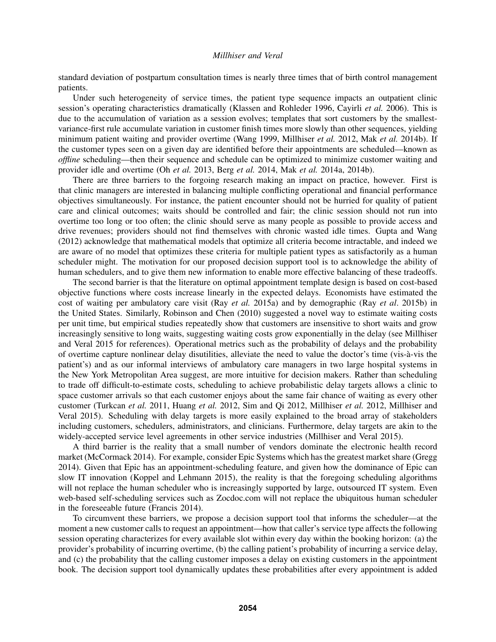standard deviation of postpartum consultation times is nearly three times that of birth control management patients.

Under such heterogeneity of service times, the patient type sequence impacts an outpatient clinic session's operating characteristics dramatically (Klassen and Rohleder 1996, Cayirli *et al.* 2006). This is due to the accumulation of variation as a session evolves; templates that sort customers by the smallestvariance-first rule accumulate variation in customer finish times more slowly than other sequences, yielding minimum patient waiting and provider overtime (Wang 1999, Millhiser *et al.* 2012, Mak *et al.* 2014b). If the customer types seen on a given day are identified before their appointments are scheduled—known as *offline* scheduling—then their sequence and schedule can be optimized to minimize customer waiting and provider idle and overtime (Oh *et al.* 2013, Berg *et al.* 2014, Mak *et al.* 2014a, 2014b).

There are three barriers to the forgoing research making an impact on practice, however. First is that clinic managers are interested in balancing multiple conflicting operational and financial performance objectives simultaneously. For instance, the patient encounter should not be hurried for quality of patient care and clinical outcomes; waits should be controlled and fair; the clinic session should not run into overtime too long or too often; the clinic should serve as many people as possible to provide access and drive revenues; providers should not find themselves with chronic wasted idle times. Gupta and Wang (2012) acknowledge that mathematical models that optimize all criteria become intractable, and indeed we are aware of no model that optimizes these criteria for multiple patient types as satisfactorily as a human scheduler might. The motivation for our proposed decision support tool is to acknowledge the ability of human schedulers, and to give them new information to enable more effective balancing of these tradeoffs.

The second barrier is that the literature on optimal appointment template design is based on cost-based objective functions where costs increase linearly in the expected delays. Economists have estimated the cost of waiting per ambulatory care visit (Ray *et al.* 2015a) and by demographic (Ray *et al*. 2015b) in the United States. Similarly, Robinson and Chen (2010) suggested a novel way to estimate waiting costs per unit time, but empirical studies repeatedly show that customers are insensitive to short waits and grow increasingly sensitive to long waits, suggesting waiting costs grow exponentially in the delay (see Millhiser and Veral 2015 for references). Operational metrics such as the probability of delays and the probability of overtime capture nonlinear delay disutilities, alleviate the need to value the doctor's time (vis-a-vis the ` patient's) and as our informal interviews of ambulatory care managers in two large hospital systems in the New York Metropolitan Area suggest, are more intuitive for decision makers. Rather than scheduling to trade off difficult-to-estimate costs, scheduling to achieve probabilistic delay targets allows a clinic to space customer arrivals so that each customer enjoys about the same fair chance of waiting as every other customer (Turkcan *et al.* 2011, Huang *et al.* 2012, Sim and Qi 2012, Millhiser *et al.* 2012, Millhiser and Veral 2015). Scheduling with delay targets is more easily explained to the broad array of stakeholders including customers, schedulers, administrators, and clinicians. Furthermore, delay targets are akin to the widely-accepted service level agreements in other service industries (Millhiser and Veral 2015).

A third barrier is the reality that a small number of vendors dominate the electronic health record market (McCormack 2014). For example, consider Epic Systems which has the greatest market share (Gregg 2014). Given that Epic has an appointment-scheduling feature, and given how the dominance of Epic can slow IT innovation (Koppel and Lehmann 2015), the reality is that the foregoing scheduling algorithms will not replace the human scheduler who is increasingly supported by large, outsourced IT system. Even web-based self-scheduling services such as Zocdoc.com will not replace the ubiquitous human scheduler in the foreseeable future (Francis 2014).

To circumvent these barriers, we propose a decision support tool that informs the scheduler—at the moment a new customer calls to request an appointment—how that caller's service type affects the following session operating characterizes for every available slot within every day within the booking horizon: (a) the provider's probability of incurring overtime, (b) the calling patient's probability of incurring a service delay, and (c) the probability that the calling customer imposes a delay on existing customers in the appointment book. The decision support tool dynamically updates these probabilities after every appointment is added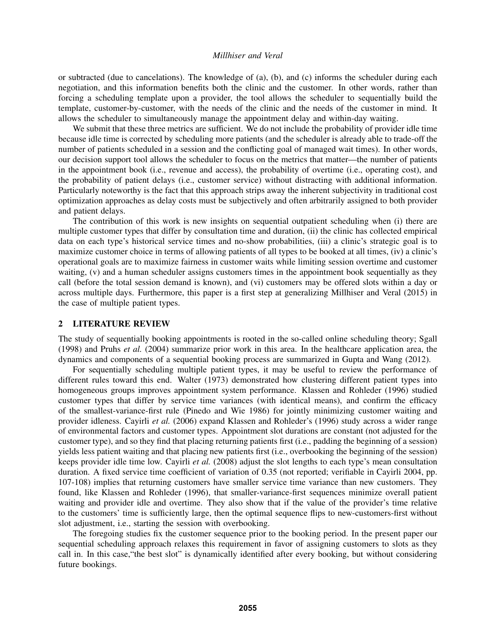or subtracted (due to cancelations). The knowledge of  $(a)$ ,  $(b)$ , and  $(c)$  informs the scheduler during each negotiation, and this information benefits both the clinic and the customer. In other words, rather than forcing a scheduling template upon a provider, the tool allows the scheduler to sequentially build the template, customer-by-customer, with the needs of the clinic and the needs of the customer in mind. It allows the scheduler to simultaneously manage the appointment delay and within-day waiting.

We submit that these three metrics are sufficient. We do not include the probability of provider idle time because idle time is corrected by scheduling more patients (and the scheduler is already able to trade-off the number of patients scheduled in a session and the conflicting goal of managed wait times). In other words, our decision support tool allows the scheduler to focus on the metrics that matter—the number of patients in the appointment book (i.e., revenue and access), the probability of overtime (i.e., operating cost), and the probability of patient delays (i.e., customer service) without distracting with additional information. Particularly noteworthy is the fact that this approach strips away the inherent subjectivity in traditional cost optimization approaches as delay costs must be subjectively and often arbitrarily assigned to both provider and patient delays.

The contribution of this work is new insights on sequential outpatient scheduling when (i) there are multiple customer types that differ by consultation time and duration, (ii) the clinic has collected empirical data on each type's historical service times and no-show probabilities, (iii) a clinic's strategic goal is to maximize customer choice in terms of allowing patients of all types to be booked at all times, (iv) a clinic's operational goals are to maximize fairness in customer waits while limiting session overtime and customer waiting, (v) and a human scheduler assigns customers times in the appointment book sequentially as they call (before the total session demand is known), and (vi) customers may be offered slots within a day or across multiple days. Furthermore, this paper is a first step at generalizing Millhiser and Veral (2015) in the case of multiple patient types.

### 2 LITERATURE REVIEW

The study of sequentially booking appointments is rooted in the so-called online scheduling theory; Sgall (1998) and Pruhs *et al.* (2004) summarize prior work in this area. In the healthcare application area, the dynamics and components of a sequential booking process are summarized in Gupta and Wang (2012).

For sequentially scheduling multiple patient types, it may be useful to review the performance of different rules toward this end. Walter (1973) demonstrated how clustering different patient types into homogeneous groups improves appointment system performance. Klassen and Rohleder (1996) studied customer types that differ by service time variances (with identical means), and confirm the efficacy of the smallest-variance-first rule (Pinedo and Wie 1986) for jointly minimizing customer waiting and provider idleness. Cayirli *et al.* (2006) expand Klassen and Rohleder's (1996) study across a wider range of environmental factors and customer types. Appointment slot durations are constant (not adjusted for the customer type), and so they find that placing returning patients first (i.e., padding the beginning of a session) yields less patient waiting and that placing new patients first (i.e., overbooking the beginning of the session) keeps provider idle time low. Cayirli *et al.* (2008) adjust the slot lengths to each type's mean consultation duration. A fixed service time coefficient of variation of 0.35 (not reported; verifiable in Cayirli 2004, pp. 107-108) implies that returning customers have smaller service time variance than new customers. They found, like Klassen and Rohleder (1996), that smaller-variance-first sequences minimize overall patient waiting and provider idle and overtime. They also show that if the value of the provider's time relative to the customers' time is sufficiently large, then the optimal sequence flips to new-customers-first without slot adjustment, i.e., starting the session with overbooking.

The foregoing studies fix the customer sequence prior to the booking period. In the present paper our sequential scheduling approach relaxes this requirement in favor of assigning customers to slots as they call in. In this case,"the best slot" is dynamically identified after every booking, but without considering future bookings.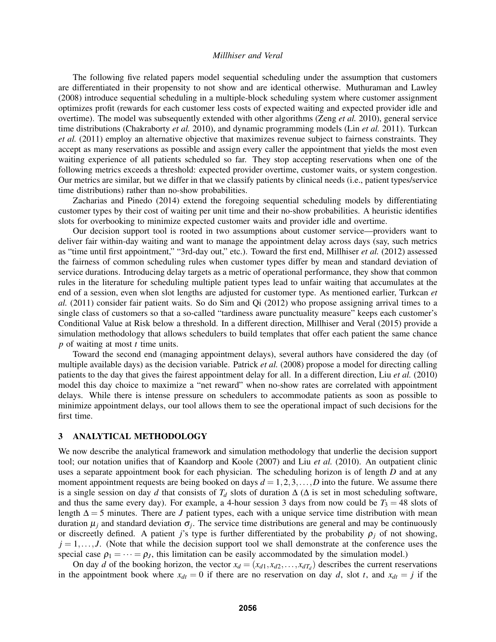The following five related papers model sequential scheduling under the assumption that customers are differentiated in their propensity to not show and are identical otherwise. Muthuraman and Lawley (2008) introduce sequential scheduling in a multiple-block scheduling system where customer assignment optimizes profit (rewards for each customer less costs of expected waiting and expected provider idle and overtime). The model was subsequently extended with other algorithms (Zeng *et al.* 2010), general service time distributions (Chakraborty *et al.* 2010), and dynamic programming models (Lin *et al.* 2011). Turkcan *et al.* (2011) employ an alternative objective that maximizes revenue subject to fairness constraints. They accept as many reservations as possible and assign every caller the appointment that yields the most even waiting experience of all patients scheduled so far. They stop accepting reservations when one of the following metrics exceeds a threshold: expected provider overtime, customer waits, or system congestion. Our metrics are similar, but we differ in that we classify patients by clinical needs (i.e., patient types/service time distributions) rather than no-show probabilities.

Zacharias and Pinedo (2014) extend the foregoing sequential scheduling models by differentiating customer types by their cost of waiting per unit time and their no-show probabilities. A heuristic identifies slots for overbooking to minimize expected customer waits and provider idle and overtime.

Our decision support tool is rooted in two assumptions about customer service—providers want to deliver fair within-day waiting and want to manage the appointment delay across days (say, such metrics as "time until first appointment," "3rd-day out," etc.). Toward the first end, Millhiser *et al.* (2012) assessed the fairness of common scheduling rules when customer types differ by mean and standard deviation of service durations. Introducing delay targets as a metric of operational performance, they show that common rules in the literature for scheduling multiple patient types lead to unfair waiting that accumulates at the end of a session, even when slot lengths are adjusted for customer type. As mentioned earlier, Turkcan *et al.* (2011) consider fair patient waits. So do Sim and Qi (2012) who propose assigning arrival times to a single class of customers so that a so-called "tardiness aware punctuality measure" keeps each customer's Conditional Value at Risk below a threshold. In a different direction, Millhiser and Veral (2015) provide a simulation methodology that allows schedulers to build templates that offer each patient the same chance *p* of waiting at most *t* time units.

Toward the second end (managing appointment delays), several authors have considered the day (of multiple available days) as the decision variable. Patrick *et al.* (2008) propose a model for directing calling patients to the day that gives the fairest appointment delay for all. In a different direction, Liu *et al.* (2010) model this day choice to maximize a "net reward" when no-show rates are correlated with appointment delays. While there is intense pressure on schedulers to accommodate patients as soon as possible to minimize appointment delays, our tool allows them to see the operational impact of such decisions for the first time.

#### 3 ANALYTICAL METHODOLOGY

We now describe the analytical framework and simulation methodology that underlie the decision support tool; our notation unifies that of Kaandorp and Koole (2007) and Liu *et al.* (2010). An outpatient clinic uses a separate appointment book for each physician. The scheduling horizon is of length *D* and at any moment appointment requests are being booked on days  $d = 1, 2, 3, \ldots, D$  into the future. We assume there is a single session on day *d* that consists of  $T_d$  slots of duration  $\Delta$  ( $\Delta$  is set in most scheduling software, and thus the same every day). For example, a 4-hour session 3 days from now could be  $T_3 = 48$  slots of length  $\Delta = 5$  minutes. There are *J* patient types, each with a unique service time distribution with mean duration  $\mu_j$  and standard deviation  $\sigma_j$ . The service time distributions are general and may be continuously or discreetly defined. A patient *j*'s type is further differentiated by the probability  $\rho_j$  of not showing,  $j = 1, \ldots, J$ . (Note that while the decision support tool we shall demonstrate at the conference uses the special case  $\rho_1 = \cdots = \rho_J$ , this limitation can be easily accommodated by the simulation model.)

On day *d* of the booking horizon, the vector  $x_d = (x_{d1}, x_{d2}, \dots, x_{dT_d})$  describes the current reservations in the appointment book where  $x_{dt} = 0$  if there are no reservation on day *d*, slot *t*, and  $x_{dt} = j$  if the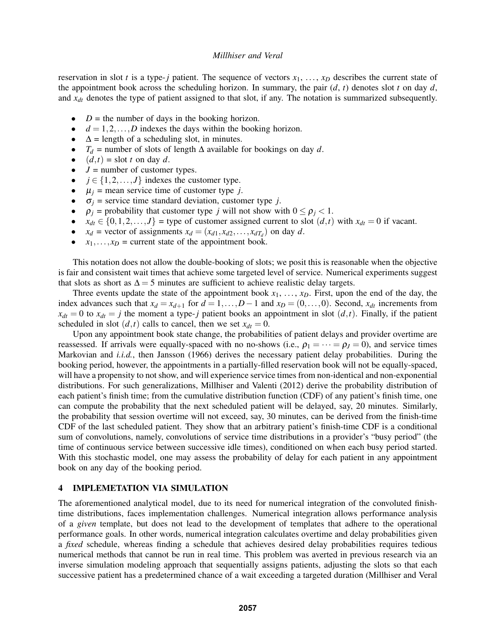reservation in slot *t* is a type-*j* patient. The sequence of vectors  $x_1, \ldots, x_D$  describes the current state of the appointment book across the scheduling horizon. In summary, the pair  $(d, t)$  denotes slot  $t$  on day  $d$ , and *xdt* denotes the type of patient assigned to that slot, if any. The notation is summarized subsequently.

- $D =$  the number of days in the booking horizon.
- $\bullet$   $d = 1, 2, \dots, D$  indexes the days within the booking horizon.
- $\Delta$  = length of a scheduling slot, in minutes.
- $T_d$  = number of slots of length  $\Delta$  available for bookings on day *d*.
- $\bullet$   $(d,t)$  = slot *t* on day *d*.
- $\bullet$  *J* = number of customer types.
- $j \in \{1, 2, ..., J\}$  indexes the customer type.
- $\mu_i$  = mean service time of customer type *j*.
- $\sigma_i$  = service time standard deviation, customer type *j*.
- $\rho_i$  = probability that customer type *j* will not show with  $0 \le \rho_i < 1$ .
- $x_{dt} \in \{0, 1, 2, \ldots, J\}$  = type of customer assigned current to slot  $(d, t)$  with  $x_{dt} = 0$  if vacant.
- $x_d$  = vector of assignments  $x_d = (x_{d1}, x_{d2}, \dots, x_{dT_d})$  on day *d*.
- $x_1, \ldots, x_D$  = current state of the appointment book.

This notation does not allow the double-booking of slots; we posit this is reasonable when the objective is fair and consistent wait times that achieve some targeted level of service. Numerical experiments suggest that slots as short as  $\Delta = 5$  minutes are sufficient to achieve realistic delay targets.

Three events update the state of the appointment book  $x_1, \ldots, x_D$ . First, upon the end of the day, the index advances such that  $x_d = x_{d+1}$  for  $d = 1, ..., D-1$  and  $x_D = (0, ..., 0)$ . Second,  $x_{dt}$  increments from  $x_{dt} = 0$  to  $x_{dt} = j$  the moment a type-*j* patient books an appointment in slot  $(d,t)$ . Finally, if the patient scheduled in slot  $(d,t)$  calls to cancel, then we set  $x_{dt} = 0$ .

Upon any appointment book state change, the probabilities of patient delays and provider overtime are reassessed. If arrivals were equally-spaced with no no-shows (i.e.,  $\rho_1 = \cdots = \rho_J = 0$ ), and service times Markovian and *i.i.d.*, then Jansson (1966) derives the necessary patient delay probabilities. During the booking period, however, the appointments in a partially-filled reservation book will not be equally-spaced, will have a propensity to not show, and will experience service times from non-identical and non-exponential distributions. For such generalizations, Millhiser and Valenti (2012) derive the probability distribution of each patient's finish time; from the cumulative distribution function (CDF) of any patient's finish time, one can compute the probability that the next scheduled patient will be delayed, say, 20 minutes. Similarly, the probability that session overtime will not exceed, say, 30 minutes, can be derived from the finish-time CDF of the last scheduled patient. They show that an arbitrary patient's finish-time CDF is a conditional sum of convolutions, namely, convolutions of service time distributions in a provider's "busy period" (the time of continuous service between successive idle times), conditioned on when each busy period started. With this stochastic model, one may assess the probability of delay for each patient in any appointment book on any day of the booking period.

#### 4 IMPLEMETATION VIA SIMULATION

The aforementioned analytical model, due to its need for numerical integration of the convoluted finishtime distributions, faces implementation challenges. Numerical integration allows performance analysis of a *given* template, but does not lead to the development of templates that adhere to the operational performance goals. In other words, numerical integration calculates overtime and delay probabilities given a *fixed* schedule, whereas finding a schedule that achieves desired delay probabilities requires tedious numerical methods that cannot be run in real time. This problem was averted in previous research via an inverse simulation modeling approach that sequentially assigns patients, adjusting the slots so that each successive patient has a predetermined chance of a wait exceeding a targeted duration (Millhiser and Veral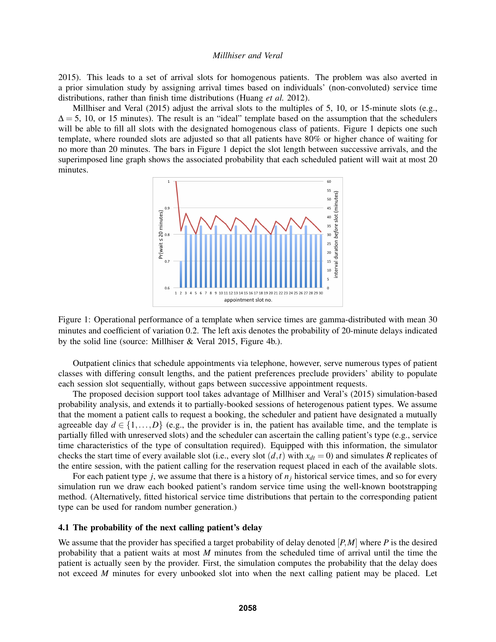2015). This leads to a set of arrival slots for homogenous patients. The problem was also averted in a prior simulation study by assigning arrival times based on individuals' (non-convoluted) service time distributions, rather than finish time distributions (Huang *et al.* 2012).

Millhiser and Veral (2015) adjust the arrival slots to the multiples of 5, 10, or 15-minute slots (e.g.,  $\Delta = 5$ , 10, or 15 minutes). The result is an "ideal" template based on the assumption that the schedulers will be able to fill all slots with the designated homogenous class of patients. Figure 1 depicts one such template, where rounded slots are adjusted so that all patients have 80% or higher chance of waiting for no more than 20 minutes. The bars in Figure 1 depict the slot length between successive arrivals, and the superimposed line graph shows the associated probability that each scheduled patient will wait at most 20 minutes.



Figure 1: Operational performance of a template when service times are gamma-distributed with mean 30 minutes and coefficient of variation 0.2. The left axis denotes the probability of 20-minute delays indicated by the solid line (source: Millhiser & Veral 2015, Figure 4b.).

Outpatient clinics that schedule appointments via telephone, however, serve numerous types of patient classes with differing consult lengths, and the patient preferences preclude providers' ability to populate each session slot sequentially, without gaps between successive appointment requests.

The proposed decision support tool takes advantage of Millhiser and Veral's (2015) simulation-based probability analysis, and extends it to partially-booked sessions of heterogenous patient types. We assume that the moment a patient calls to request a booking, the scheduler and patient have designated a mutually agreeable day  $d \in \{1, ..., D\}$  (e.g., the provider is in, the patient has available time, and the template is partially filled with unreserved slots) and the scheduler can ascertain the calling patient's type (e.g., service time characteristics of the type of consultation required). Equipped with this information, the simulator checks the start time of every available slot (i.e., every slot  $(d,t)$  with  $x_{dt} = 0$ ) and simulates *R* replicates of the entire session, with the patient calling for the reservation request placed in each of the available slots.

For each patient type *j*, we assume that there is a history of *n<sup>j</sup>* historical service times, and so for every simulation run we draw each booked patient's random service time using the well-known bootstrapping method. (Alternatively, fitted historical service time distributions that pertain to the corresponding patient type can be used for random number generation.)

### 4.1 The probability of the next calling patient's delay

We assume that the provider has specified a target probability of delay denoted [*P*,*M*] where *P* is the desired probability that a patient waits at most *M* minutes from the scheduled time of arrival until the time the patient is actually seen by the provider. First, the simulation computes the probability that the delay does not exceed *M* minutes for every unbooked slot into when the next calling patient may be placed. Let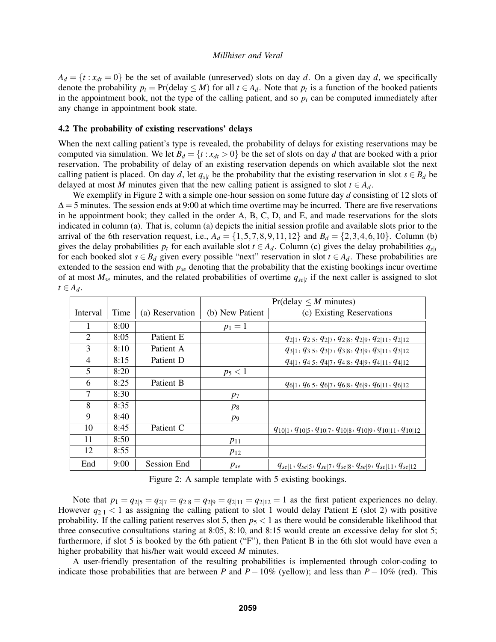$A_d = \{t : x_{dt} = 0\}$  be the set of available (unreserved) slots on day *d*. On a given day *d*, we specifically denote the probability  $p_t = \Pr(\text{delay} \leq M)$  for all  $t \in A_d$ . Note that  $p_t$  is a function of the booked patients in the appointment book, not the type of the calling patient, and so  $p_t$  can be computed immediately after any change in appointment book state.

# 4.2 The probability of existing reservations' delays

When the next calling patient's type is revealed, the probability of delays for existing reservations may be computed via simulation. We let  $B_d = \{t : x_{dt} > 0\}$  be the set of slots on day *d* that are booked with a prior reservation. The probability of delay of an existing reservation depends on which available slot the next calling patient is placed. On day *d*, let  $q_{s|t}$  be the probability that the existing reservation in slot  $s \in B_d$  be delayed at most *M* minutes given that the new calling patient is assigned to slot  $t \in A_d$ .

We exemplify in Figure 2 with a simple one-hour session on some future day *d* consisting of 12 slots of  $\Delta = 5$  minutes. The session ends at 9:00 at which time overtime may be incurred. There are five reservations in he appointment book; they called in the order A, B, C, D, and E, and made reservations for the slots indicated in column (a). That is, column (a) depicts the initial session profile and available slots prior to the arrival of the 6th reservation request, i.e.,  $A_d = \{1, 5, 7, 8, 9, 11, 12\}$  and  $B_d = \{2, 3, 4, 6, 10\}$ . Column (b) gives the delay probabilities  $p_t$  for each available slot  $t \in A_d$ . Column (c) gives the delay probabilities  $q_{s|t}$ for each booked slot  $s \in B_d$  given every possible "next" reservation in slot  $t \in A_d$ . These probabilities are extended to the session end with *pse* denoting that the probability that the existing bookings incur overtime of at most  $M_{se}$  minutes, and the related probabilities of overtime  $q_{se|t}$  if the next caller is assigned to slot  $t \in A_d$ .

|              |      |                 | $Pr(delay \leq M$ minutes) |                                                                          |  |  |
|--------------|------|-----------------|----------------------------|--------------------------------------------------------------------------|--|--|
| Interval     | Time | (a) Reservation | (b) New Patient            | (c) Existing Reservations                                                |  |  |
|              | 8:00 |                 | $p_1 = 1$                  |                                                                          |  |  |
| 2            | 8:05 | Patient E       |                            | $q_{2 1}, q_{2 5}, q_{2 7}, q_{2 8}, q_{2 9}, q_{2 11}, q_{2 12}$        |  |  |
| $\mathbf{3}$ | 8:10 | Patient A       |                            | $q_{3 1}, q_{3 5}, q_{3 7}, q_{3 8}, q_{3 9}, q_{3 11}, q_{3 12}$        |  |  |
| 4            | 8:15 | Patient D       |                            | $q_{4 1}, q_{4 5}, q_{4 7}, q_{4 8}, q_{4 9}, q_{4 11}, q_{4 12}$        |  |  |
| 5            | 8:20 |                 | $p_5 < 1$                  |                                                                          |  |  |
| 6            | 8:25 | Patient B       |                            | $q_{6 1}, q_{6 5}, q_{6 7}, q_{6 8}, q_{6 9}, q_{6 11}, q_{6 12}$        |  |  |
| 7            | 8:30 |                 | $p_7$                      |                                                                          |  |  |
| 8            | 8:35 |                 | $p_8$                      |                                                                          |  |  |
| 9            | 8:40 |                 | $p_9$                      |                                                                          |  |  |
| 10           | 8:45 | Patient C       |                            | $q_{10 1}, q_{10 5}, q_{10 7}, q_{10 8}, q_{10 9}, q_{10 11}, q_{10 12}$ |  |  |
| 11           | 8:50 |                 | $p_{11}$                   |                                                                          |  |  |
| 12           | 8:55 |                 | $p_{12}$                   |                                                                          |  |  |
| End          | 9:00 | Session End     | $p_{se}$                   | $q_{se 1}, q_{se 5}, q_{se 7}, q_{se 8}, q_{se 9}, q_{se 11}, q_{se 12}$ |  |  |

Figure 2: A sample template with 5 existing bookings.

Note that  $p_1 = q_{2|5} = q_{2|7} = q_{2|8} = q_{2|9} = q_{2|11} = q_{2|12} = 1$  as the first patient experiences no delay. However  $q_{2|1}$  < 1 as assigning the calling patient to slot 1 would delay Patient E (slot 2) with positive probability. If the calling patient reserves slot 5, then  $p<sub>5</sub>$  < 1 as there would be considerable likelihood that three consecutive consultations staring at 8:05, 8:10, and 8:15 would create an excessive delay for slot 5; furthermore, if slot 5 is booked by the 6th patient ("F"), then Patient B in the 6th slot would have even a higher probability that his/her wait would exceed *M* minutes.

A user-friendly presentation of the resulting probabilities is implemented through color-coding to indicate those probabilities that are between *P* and  $P-10\%$  (yellow); and less than  $P-10\%$  (red). This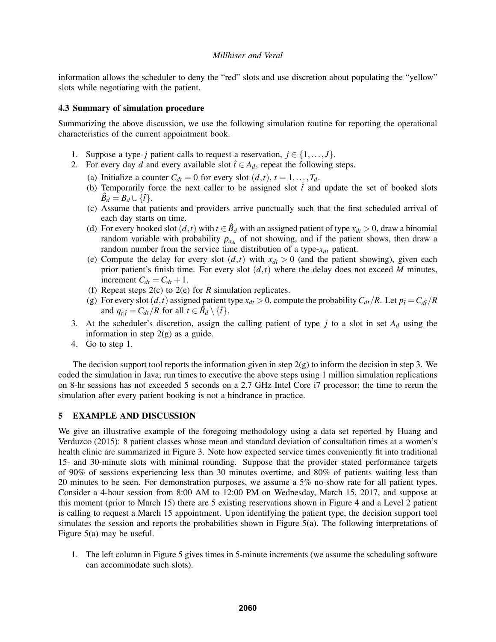information allows the scheduler to deny the "red" slots and use discretion about populating the "yellow" slots while negotiating with the patient.

### 4.3 Summary of simulation procedure

Summarizing the above discussion, we use the following simulation routine for reporting the operational characteristics of the current appointment book.

- 1. Suppose a type-*j* patient calls to request a reservation,  $j \in \{1, ..., J\}$ .
- 2. For every day *d* and every available slot  $\hat{t} \in A_d$ , repeat the following steps.
	- (a) Initialize a counter  $C_{dt} = 0$  for every slot  $(d,t)$ ,  $t = 1, \ldots, T_d$ .
	- (b) Temporarily force the next caller to be assigned slot  $\hat{t}$  and update the set of booked slots  $\hat{B}_d = B_d \cup \{\hat{t}\}.$
	- (c) Assume that patients and providers arrive punctually such that the first scheduled arrival of each day starts on time.
	- (d) For every booked slot  $(d,t)$  with  $t \in \hat{B}_d$  with an assigned patient of type  $x_{dt} > 0$ , draw a binomial random variable with probability  $\rho_{x_{dt}}$  of not showing, and if the patient shows, then draw a random number from the service time distribution of a type- $x_{dt}$  patient.
	- (e) Compute the delay for every slot  $(d,t)$  with  $x_{dt} > 0$  (and the patient showing), given each prior patient's finish time. For every slot  $(d,t)$  where the delay does not exceed *M* minutes, increment  $C_{dt} = C_{dt} + 1$ .
	- (f) Repeat steps 2(c) to 2(e) for *R* simulation replicates.
	- (g) For every slot  $(d,t)$  assigned patient type  $x_{dt} > 0$ , compute the probability  $C_{dt}/R$ . Let  $p_f = C_{d\hat{t}}/R$ and  $q_{t|\hat{t}} = C_{dt}/R$  for all  $t \in \hat{B}_d \setminus \{\hat{t}\}.$
- 3. At the scheduler's discretion, assign the calling patient of type *j* to a slot in set *A<sup>d</sup>* using the information in step 2(g) as a guide.
- 4. Go to step 1.

The decision support tool reports the information given in step  $2(g)$  to inform the decision in step 3. We coded the simulation in Java; run times to executive the above steps using 1 million simulation replications on 8-hr sessions has not exceeded 5 seconds on a 2.7 GHz Intel Core i7 processor; the time to rerun the simulation after every patient booking is not a hindrance in practice.

### 5 EXAMPLE AND DISCUSSION

We give an illustrative example of the foregoing methodology using a data set reported by Huang and Verduzco (2015): 8 patient classes whose mean and standard deviation of consultation times at a women's health clinic are summarized in Figure 3. Note how expected service times conveniently fit into traditional 15- and 30-minute slots with minimal rounding. Suppose that the provider stated performance targets of 90% of sessions experiencing less than 30 minutes overtime, and 80% of patients waiting less than 20 minutes to be seen. For demonstration purposes, we assume a 5% no-show rate for all patient types. Consider a 4-hour session from 8:00 AM to 12:00 PM on Wednesday, March 15, 2017, and suppose at this moment (prior to March 15) there are 5 existing reservations shown in Figure 4 and a Level 2 patient is calling to request a March 15 appointment. Upon identifying the patient type, the decision support tool simulates the session and reports the probabilities shown in Figure 5(a). The following interpretations of Figure 5(a) may be useful.

1. The left column in Figure 5 gives times in 5-minute increments (we assume the scheduling software can accommodate such slots).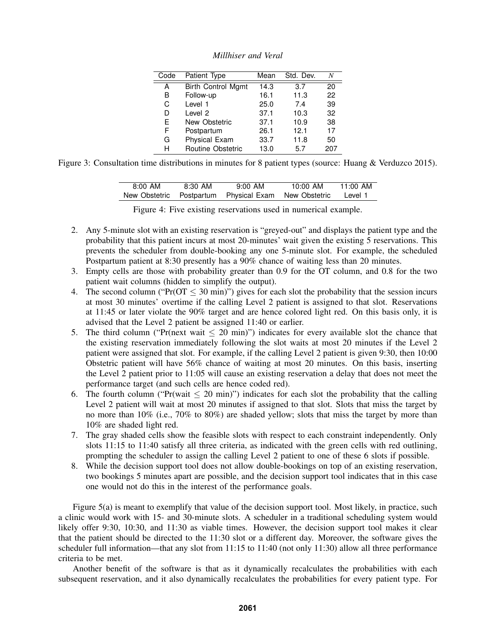| Code | Patient Type              | Mean | Std. Dev. | N   |
|------|---------------------------|------|-----------|-----|
| А    | <b>Birth Control Mamt</b> | 14.3 | 3.7       | 20  |
| B    | Follow-up                 | 16.1 | 11.3      | 22  |
| C    | Level 1                   | 25.0 | 7.4       | 39  |
| D    | Level 2                   | 37.1 | 10.3      | 32  |
| F    | New Obstetric             | 37.1 | 10.9      | 38  |
| F    | Postpartum                | 26.1 | 12.1      | 17  |
| G    | Physical Exam             | 33.7 | 11.8      | 50  |
| н    | Routine Obstetric         | 13.0 | 5.7       | 207 |

*Millhiser and Veral*

Figure 3: Consultation time distributions in minutes for 8 patient types (source: Huang & Verduzco 2015).

| $8:00$ AM | 8:30 AM | $9:00$ AM                                            | 10:00 AM | 11:00 AM |
|-----------|---------|------------------------------------------------------|----------|----------|
|           |         | New Obstetric Postpartum Physical Exam New Obstetric |          | Level 1  |

| Figure 4: Five existing reservations used in numerical example. |  |  |
|-----------------------------------------------------------------|--|--|
|                                                                 |  |  |
|                                                                 |  |  |

- 2. Any 5-minute slot with an existing reservation is "greyed-out" and displays the patient type and the probability that this patient incurs at most 20-minutes' wait given the existing 5 reservations. This prevents the scheduler from double-booking any one 5-minute slot. For example, the scheduled Postpartum patient at 8:30 presently has a 90% chance of waiting less than 20 minutes.
- 3. Empty cells are those with probability greater than 0.9 for the OT column, and 0.8 for the two patient wait columns (hidden to simplify the output).
- 4. The second column (" $Pr(OT \le 30 \text{ min})$ ") gives for each slot the probability that the session incurs at most 30 minutes' overtime if the calling Level 2 patient is assigned to that slot. Reservations at 11:45 or later violate the 90% target and are hence colored light red. On this basis only, it is advised that the Level 2 patient be assigned 11:40 or earlier.
- 5. The third column ("Pr(next wait  $\leq$  20 min)") indicates for every available slot the chance that the existing reservation immediately following the slot waits at most 20 minutes if the Level 2 patient were assigned that slot. For example, if the calling Level 2 patient is given 9:30, then 10:00 Obstetric patient will have 56% chance of waiting at most 20 minutes. On this basis, inserting the Level 2 patient prior to 11:05 will cause an existing reservation a delay that does not meet the performance target (and such cells are hence coded red).
- 6. The fourth column ("Pr(wait  $\leq 20$  min)") indicates for each slot the probability that the calling Level 2 patient will wait at most 20 minutes if assigned to that slot. Slots that miss the target by no more than 10% (i.e., 70% to 80%) are shaded yellow; slots that miss the target by more than 10% are shaded light red.
- 7. The gray shaded cells show the feasible slots with respect to each constraint independently. Only slots 11:15 to 11:40 satisfy all three criteria, as indicated with the green cells with red outlining, prompting the scheduler to assign the calling Level 2 patient to one of these 6 slots if possible.
- 8. While the decision support tool does not allow double-bookings on top of an existing reservation, two bookings 5 minutes apart are possible, and the decision support tool indicates that in this case one would not do this in the interest of the performance goals.

Figure 5(a) is meant to exemplify that value of the decision support tool. Most likely, in practice, such a clinic would work with 15- and 30-minute slots. A scheduler in a traditional scheduling system would likely offer 9:30, 10:30, and 11:30 as viable times. However, the decision support tool makes it clear that the patient should be directed to the 11:30 slot or a different day. Moreover, the software gives the scheduler full information—that any slot from 11:15 to 11:40 (not only 11:30) allow all three performance criteria to be met.

Another benefit of the software is that as it dynamically recalculates the probabilities with each subsequent reservation, and it also dynamically recalculates the probabilities for every patient type. For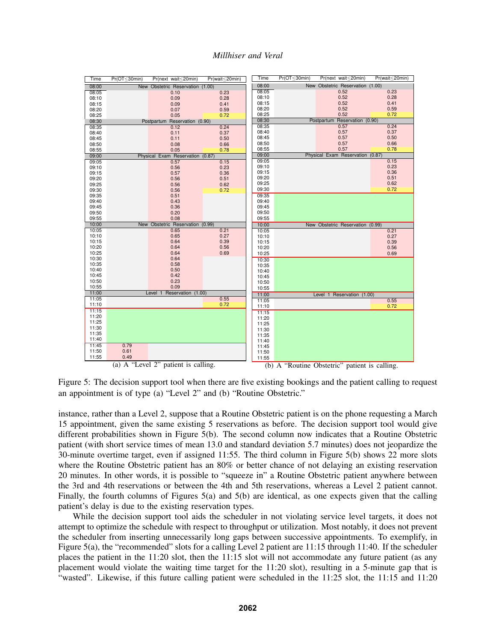| Time           | $Pr(OT \leq 30min)$                                                                  | Pr(next wait<20min)                      | Pr(wait<20min) | Time           | Pr(OT < 30min) | Pr(next wait<20min)              | Pr(wait<20min) |
|----------------|--------------------------------------------------------------------------------------|------------------------------------------|----------------|----------------|----------------|----------------------------------|----------------|
| 08:00          | New Obstetric Reservation (1.00)                                                     |                                          |                | 08:00          |                | New Obstetric Reservation (1.00) |                |
| 08:05          |                                                                                      | 0.10                                     | 0.23           | 08:05          |                | 0.52                             | 0.23           |
| 08:10          |                                                                                      | 0.09                                     | 0.28           | 08:10          |                | 0.52                             | 0.28           |
| 08:15          |                                                                                      | 0.09                                     | 0.41           | 08:15          |                | 0.52                             | 0.41           |
| 08:20          |                                                                                      | 0.07                                     | 0.59           | 08:20          |                | 0.52                             | 0.59           |
| 08:25          |                                                                                      | 0.05                                     | 0.72           | 08:25          |                | 0.52                             | 0.72           |
| 08:30          |                                                                                      | Postpartum Reservation (0.90)            |                | 08:30          |                | Postpartum Reservation (0.90)    |                |
| 08:35          |                                                                                      | 0.12                                     | 0.24           | 08:35          |                | 0.57                             | 0.24           |
| 08:40          |                                                                                      | 0.11                                     | 0.37           | 08:40          |                | 0.57                             | 0.37           |
| 08:45          |                                                                                      | 0.11                                     | 0.50           | 08:45          |                | 0.57                             | 0.50           |
| 08:50          |                                                                                      | 0.08                                     | 0.66           | 08:50          |                | 0.57                             | 0.66           |
| 08:55          |                                                                                      | 0.05                                     | 0.78           | 08:55          |                | 0.57                             | 0.78           |
| 09:00          |                                                                                      | Physical Exam Reservation (0.87)         |                | 09:00          |                | Physical Exam Reservation (0.87) |                |
| 09:05          |                                                                                      | 0.57                                     | 0.15           | 09:05          |                |                                  | 0.15           |
| 09:10          |                                                                                      | 0.56                                     | 0.23           | 09:10          |                |                                  | 0.23           |
| 09:15          |                                                                                      | 0.57                                     | 0.36           | 09:15          |                |                                  | 0.36           |
| 09:20          |                                                                                      | 0.56                                     | 0.51           | 09:20          |                |                                  | 0.51           |
| 09:25          |                                                                                      | 0.56                                     | 0.62           | 09:25          |                |                                  | 0.62           |
| 09:30          |                                                                                      | 0.56                                     | 0.72           | 09:30          |                |                                  | 0.72           |
| 09:35          |                                                                                      | 0.51                                     |                | 09:35          |                |                                  |                |
| 09:40          |                                                                                      | 0.43                                     |                | 09:40          |                |                                  |                |
| 09:45          |                                                                                      | 0.36                                     |                | 09:45          |                |                                  |                |
| 09:50          |                                                                                      | 0.20                                     |                | 09:50          |                |                                  |                |
| 09:55          |                                                                                      | 0.08                                     |                | 09:55          |                |                                  |                |
| 10:00<br>10:05 |                                                                                      | New Obstetric Reservation (0.99)<br>0.65 | 0.21           | 10:00          |                | New Obstetric Reservation (0.99) |                |
| 10:10          |                                                                                      | 0.65                                     | 0.27           | 10:05<br>10:10 |                |                                  | 0.21<br>0.27   |
| 10:15          |                                                                                      | 0.64                                     | 0.39           | 10:15          |                |                                  | 0.39           |
| 10:20          |                                                                                      | 0.64                                     | 0.56           | 10:20          |                |                                  | 0.56           |
| 10:25          |                                                                                      | 0.64                                     | 0.69           | 10:25          |                |                                  | 0.69           |
| 10:30          |                                                                                      | 0.64                                     |                | 10:30          |                |                                  |                |
| 10:35          |                                                                                      | 0.58                                     |                | 10:35          |                |                                  |                |
| 10:40          |                                                                                      | 0.50                                     |                | 10:40          |                |                                  |                |
| 10:45          |                                                                                      | 0.42                                     |                | 10:45          |                |                                  |                |
| 10:50          |                                                                                      | 0.23                                     |                | 10:50          |                |                                  |                |
| 10:55          |                                                                                      | 0.09                                     |                | 10:55          |                |                                  |                |
| 11:00          |                                                                                      | Level 1 Reservation (1.00)               |                | 11:00          |                | Level 1 Reservation (1.00)       |                |
| 11:05          |                                                                                      |                                          | 0.55           | 11:05          |                |                                  | 0.55           |
| 11:10          |                                                                                      |                                          | 0.72           | 11:10          |                |                                  | 0.72           |
| 11:15          |                                                                                      |                                          |                | 11:15          |                |                                  |                |
| 11:20          |                                                                                      |                                          |                | 11:20          |                |                                  |                |
| 11:25          |                                                                                      |                                          |                | 11:25          |                |                                  |                |
| 11:30          |                                                                                      |                                          |                | 11:30          |                |                                  |                |
| 11:35          |                                                                                      |                                          |                | 11:35          |                |                                  |                |
| 11:40          |                                                                                      |                                          |                | 11:40          |                |                                  |                |
| 11:45          | 0.79                                                                                 |                                          |                | 11:45          |                |                                  |                |
| 11:50          | 0.61                                                                                 |                                          |                | 11:50          |                |                                  |                |
| 11:55          | 0.49                                                                                 |                                          |                | 11:55          |                |                                  |                |
|                | (a) A "Level 2" patient is calling.<br>(b) A "Routine Obstetric" patient is calling. |                                          |                |                |                |                                  |                |

Figure 5: The decision support tool when there are five existing bookings and the patient calling to request an appointment is of type (a) "Level 2" and (b) "Routine Obstetric."

instance, rather than a Level 2, suppose that a Routine Obstetric patient is on the phone requesting a March 15 appointment, given the same existing 5 reservations as before. The decision support tool would give different probabilities shown in Figure 5(b). The second column now indicates that a Routine Obstetric patient (with short service times of mean 13.0 and standard deviation 5.7 minutes) does not jeopardize the 30-minute overtime target, even if assigned 11:55. The third column in Figure 5(b) shows 22 more slots where the Routine Obstetric patient has an 80% or better chance of not delaying an existing reservation 20 minutes. In other words, it is possible to "squeeze in" a Routine Obstetric patient anywhere between the 3rd and 4th reservations or between the 4th and 5th reservations, whereas a Level 2 patient cannot. Finally, the fourth columns of Figures 5(a) and 5(b) are identical, as one expects given that the calling patient's delay is due to the existing reservation types.

While the decision support tool aids the scheduler in not violating service level targets, it does not attempt to optimize the schedule with respect to throughput or utilization. Most notably, it does not prevent the scheduler from inserting unnecessarily long gaps between successive appointments. To exemplify, in Figure 5(a), the "recommended" slots for a calling Level 2 patient are 11:15 through 11:40. If the scheduler places the patient in the 11:20 slot, then the 11:15 slot will not accommodate any future patient (as any placement would violate the waiting time target for the 11:20 slot), resulting in a 5-minute gap that is "wasted". Likewise, if this future calling patient were scheduled in the 11:25 slot, the 11:15 and 11:20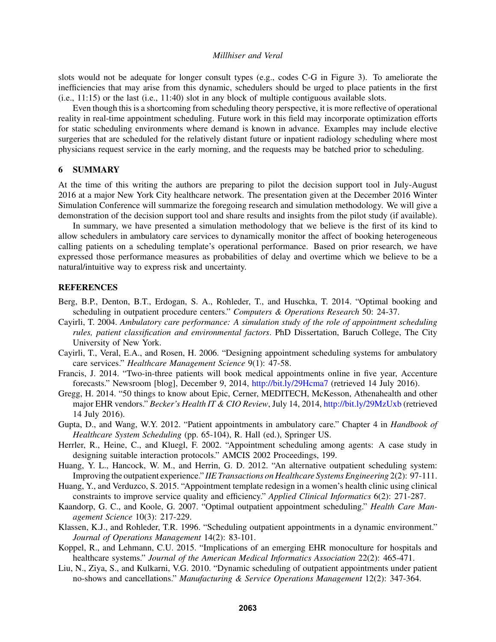slots would not be adequate for longer consult types (e.g., codes C-G in Figure 3). To ameliorate the inefficiencies that may arise from this dynamic, schedulers should be urged to place patients in the first  $(i.e., 11:15)$  or the last  $(i.e., 11:40)$  slot in any block of multiple contiguous available slots.

Even though this is a shortcoming from scheduling theory perspective, it is more reflective of operational reality in real-time appointment scheduling. Future work in this field may incorporate optimization efforts for static scheduling environments where demand is known in advance. Examples may include elective surgeries that are scheduled for the relatively distant future or inpatient radiology scheduling where most physicians request service in the early morning, and the requests may be batched prior to scheduling.

# 6 SUMMARY

At the time of this writing the authors are preparing to pilot the decision support tool in July-August 2016 at a major New York City healthcare network. The presentation given at the December 2016 Winter Simulation Conference will summarize the foregoing research and simulation methodology. We will give a demonstration of the decision support tool and share results and insights from the pilot study (if available).

In summary, we have presented a simulation methodology that we believe is the first of its kind to allow schedulers in ambulatory care services to dynamically monitor the affect of booking heterogeneous calling patients on a scheduling template's operational performance. Based on prior research, we have expressed those performance measures as probabilities of delay and overtime which we believe to be a natural/intuitive way to express risk and uncertainty.

### **REFERENCES**

- Berg, B.P., Denton, B.T., Erdogan, S. A., Rohleder, T., and Huschka, T. 2014. "Optimal booking and scheduling in outpatient procedure centers." *Computers & Operations Research* 50: 24-37.
- Cayirli, T. 2004. *Ambulatory care performance: A simulation study of the role of appointment scheduling rules, patient classification and environmental factors*. PhD Dissertation, Baruch College, The City University of New York.
- Cayirli, T., Veral, E.A., and Rosen, H. 2006. "Designing appointment scheduling systems for ambulatory care services." *Healthcare Management Science* 9(1): 47-58.
- Francis, J. 2014. "Two-in-three patients will book medical appointments online in five year, Accenture forecasts." Newsroom [blog], December 9, 2014, http://bit.ly/29Hcma7 (retrieved 14 July 2016).
- Gregg, H. 2014. "50 things to know about Epic, Cerner, MEDITECH, McKesson, Athenahealth and other major EHR vendors." *Becker's Health IT & CIO Review*, July 14, 2014, http://bit.ly/29MzUxb (retrieved 14 July 2016).
- Gupta, D., and Wang, W.Y. 2012. "Patient appointments in ambulatory care." Chapter 4 in *Handbook of Healthcare System Scheduling* (pp. 65-104), R. Hall (ed.), Springer US.
- Herrler, R., Heine, C., and Kluegl, F. 2002. "Appointment scheduling among agents: A case study in designing suitable interaction protocols." AMCIS 2002 Proceedings, 199.
- Huang, Y. L., Hancock, W. M., and Herrin, G. D. 2012. "An alternative outpatient scheduling system: Improving the outpatient experience." *IIE Transactions on Healthcare Systems Engineering* 2(2): 97-111.
- Huang, Y., and Verduzco, S. 2015. "Appointment template redesign in a women's health clinic using clinical constraints to improve service quality and efficiency." *Applied Clinical Informatics* 6(2): 271-287.
- Kaandorp, G. C., and Koole, G. 2007. "Optimal outpatient appointment scheduling." *Health Care Management Science* 10(3): 217-229.
- Klassen, K.J., and Rohleder, T.R. 1996. "Scheduling outpatient appointments in a dynamic environment." *Journal of Operations Management* 14(2): 83-101.
- Koppel, R., and Lehmann, C.U. 2015. "Implications of an emerging EHR monoculture for hospitals and healthcare systems." *Journal of the American Medical Informatics Association* 22(2): 465-471.
- Liu, N., Ziya, S., and Kulkarni, V.G. 2010. "Dynamic scheduling of outpatient appointments under patient no-shows and cancellations." *Manufacturing & Service Operations Management* 12(2): 347-364.